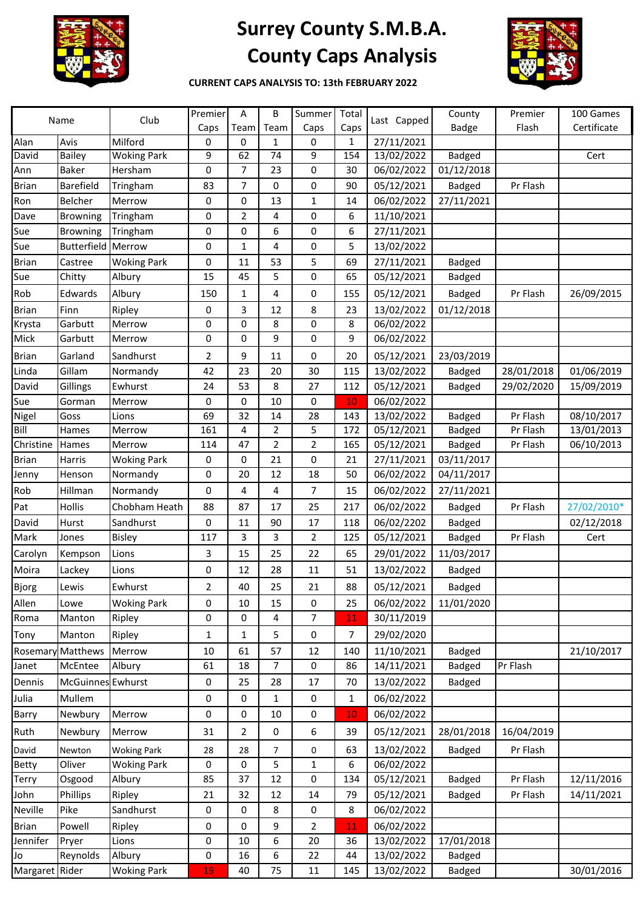

## **Surrey County S.M.B.A. County Caps Analysis**



**CURRENT CAPS ANALYSIS TO: 13th FEBRUARY 2022**

| Name           |                    | Club               | Premier        | A              | В              | Summer         | Total | Last Capped | County        | Premier    | 100 Games   |
|----------------|--------------------|--------------------|----------------|----------------|----------------|----------------|-------|-------------|---------------|------------|-------------|
|                |                    |                    | Caps           | Team           | Team           | Caps           | Caps  |             | <b>Badge</b>  | Flash      | Certificate |
| Alan           | Avis               | Milford            | 0              | 0              | 1              | 0              | 1     | 27/11/2021  |               |            |             |
| David          | Bailey             | <b>Woking Park</b> | 9              | 62             | 74             | 9              | 154   | 13/02/2022  | <b>Badged</b> |            | Cert        |
| Ann            | <b>Baker</b>       | Hersham            | 0              | 7              | 23             | 0              | 30    | 06/02/2022  | 01/12/2018    |            |             |
| <b>Brian</b>   | Barefield          | Tringham           | 83             | 7              | 0              | 0              | 90    | 05/12/2021  | <b>Badged</b> | Pr Flash   |             |
| Ron            | <b>Belcher</b>     | Merrow             | 0              | 0              | 13             | 1              | 14    | 06/02/2022  | 27/11/2021    |            |             |
| Dave           | <b>Browning</b>    | Tringham           | 0              | 2              | 4              | $\pmb{0}$      | 6     | 11/10/2021  |               |            |             |
| Sue            | <b>Browning</b>    | Tringham           | 0              | 0              | 6              | 0              | 6     | 27/11/2021  |               |            |             |
| Sue            | <b>Butterfield</b> | Merrow             | 0              | 1              | 4              | 0              | 5     | 13/02/2022  |               |            |             |
| <b>Brian</b>   | Castree            | <b>Woking Park</b> | 0              | 11             | 53             | 5              | 69    | 27/11/2021  | <b>Badged</b> |            |             |
| Sue            | Chitty             | Albury             | 15             | 45             | 5              | 0              | 65    | 05/12/2021  | <b>Badged</b> |            |             |
| Rob            | Edwards            | Albury             | 150            | 1              | 4              | 0              | 155   | 05/12/2021  | <b>Badged</b> | Pr Flash   | 26/09/2015  |
| <b>Brian</b>   | Finn               | Ripley             | 0              | 3              | 12             | 8              | 23    | 13/02/2022  | 01/12/2018    |            |             |
| Krysta         | Garbutt            | Merrow             | 0              | 0              | 8              | 0              | 8     | 06/02/2022  |               |            |             |
| Mick           | Garbutt            | Merrow             | 0              | 0              | 9              | 0              | 9     | 06/02/2022  |               |            |             |
| <b>Brian</b>   | Garland            | Sandhurst          | $\overline{2}$ | 9              | 11             | 0              | 20    | 05/12/2021  | 23/03/2019    |            |             |
| Linda          | Gillam             | Normandy           | 42             | 23             | 20             | 30             | 115   | 13/02/2022  | <b>Badged</b> | 28/01/2018 | 01/06/2019  |
| David          | Gillings           | Ewhurst            | 24             | 53             | 8              | 27             | 112   | 05/12/2021  | <b>Badged</b> | 29/02/2020 | 15/09/2019  |
| Sue            | Gorman             | Merrow             | 0              | 0              | 10             | 0              | 10    | 06/02/2022  |               |            |             |
| Nigel          | Goss               | Lions              | 69             | 32             | 14             | 28             | 143   | 13/02/2022  | <b>Badged</b> | Pr Flash   | 08/10/2017  |
| Bill           | Hames              | Merrow             | 161            | 4              | 2              | 5              | 172   | 05/12/2021  | <b>Badged</b> | Pr Flash   | 13/01/2013  |
| Christine      | Hames              | Merrow             | 114            | 47             | 2              | $\overline{2}$ | 165   | 05/12/2021  | <b>Badged</b> | Pr Flash   | 06/10/2013  |
| <b>Brian</b>   | Harris             | <b>Woking Park</b> | 0              | 0              | 21             | 0              | 21    | 27/11/2021  | 03/11/2017    |            |             |
| Jenny          | Henson             | Normandy           | 0              | 20             | 12             | 18             | 50    | 06/02/2022  | 04/11/2017    |            |             |
| Rob            | Hillman            | Normandy           | 0              | 4              | 4              | $\overline{7}$ | 15    | 06/02/2022  | 27/11/2021    |            |             |
| Pat            | Hollis             | Chobham Heath      | 88             | 87             | 17             | 25             | 217   | 06/02/2022  | <b>Badged</b> | Pr Flash   | 27/02/2010* |
| David          | Hurst              | Sandhurst          | 0              | 11             | 90             | 17             | 118   | 06/02/2202  | <b>Badged</b> |            | 02/12/2018  |
| Mark           | Jones              | <b>Bisley</b>      | 117            | 3              | 3              | $\overline{2}$ | 125   | 05/12/2021  | <b>Badged</b> | Pr Flash   | Cert        |
| Carolyn        | Kempson            | Lions              | 3              | 15             | 25             | 22             | 65    | 29/01/2022  | 11/03/2017    |            |             |
| Moira          | Lackey             | Lions              | 0              | 12             | 28             | 11             | 51    | 13/02/2022  | <b>Badged</b> |            |             |
| <b>Bjorg</b>   | Lewis              | Ewhurst            | 2              | 40             | 25             | 21             | 88    | 05/12/2021  | <b>Badged</b> |            |             |
| Allen          | Lowe               | <b>Woking Park</b> | 0              | 10             | 15             | 0              | 25    | 06/02/2022  | 11/01/2020    |            |             |
| Roma           | Manton             | Ripley             | 0              | 0              | 4              | 7              | 11    | 30/11/2019  |               |            |             |
|                |                    |                    |                |                |                | 0              |       | 29/02/2020  |               |            |             |
| Tony           | Manton             | Ripley             | $\mathbf{1}$   | $\mathbf{1}$   | 5              |                | 7     |             |               |            |             |
|                | Rosemary Matthews  | Merrow             | 10             | 61             | 57             | 12             | 140   | 11/10/2021  | <b>Badged</b> |            | 21/10/2017  |
| Janet          | McEntee            | Albury             | 61             | 18             | $\overline{7}$ | $\pmb{0}$      | 86    | 14/11/2021  | <b>Badged</b> | Pr Flash   |             |
| Dennis         | McGuinnes Ewhurst  |                    | 0              | 25             | 28             | 17             | 70    | 13/02/2022  | <b>Badged</b> |            |             |
| Julia          | Mullem             |                    | 0              | 0              | 1              | 0              | 1     | 06/02/2022  |               |            |             |
| Barry          | Newbury            | Merrow             | 0              | 0              | 10             | 0              | 10    | 06/02/2022  |               |            |             |
| Ruth           | Newbury            | Merrow             | 31             | $\overline{2}$ | 0              | 6              | 39    | 05/12/2021  | 28/01/2018    | 16/04/2019 |             |
| David          | Newton             | <b>Woking Park</b> | 28             | 28             | 7              | 0              | 63    | 13/02/2022  | <b>Badged</b> | Pr Flash   |             |
| Betty          | Oliver             | <b>Woking Park</b> | 0              | 0              | 5              | $\mathbf{1}$   | 6     | 06/02/2022  |               |            |             |
| Terry          | Osgood             | Albury             | 85             | 37             | $12\,$         | 0              | 134   | 05/12/2021  | <b>Badged</b> | Pr Flash   | 12/11/2016  |
| John           | Phillips           | Ripley             | 21             | 32             | 12             | 14             | 79    | 05/12/2021  | <b>Badged</b> | Pr Flash   | 14/11/2021  |
| Neville        | Pike               | Sandhurst          | 0              | 0              | 8              | 0              | 8     | 06/02/2022  |               |            |             |
| <b>Brian</b>   | Powell             | Ripley             | 0              | 0              | 9              | 2              | 11    | 06/02/2022  |               |            |             |
| Jennifer       | Pryer              | Lions              | 0              | 10             | 6              | 20             | 36    | 13/02/2022  | 17/01/2018    |            |             |
| Jo             | Reynolds           | Albury             | 0              | 16             | 6              | 22             | 44    | 13/02/2022  | <b>Badged</b> |            |             |
| Margaret Rider |                    | <b>Woking Park</b> | 19             | 40             | 75             | 11             | 145   | 13/02/2022  | <b>Badged</b> |            | 30/01/2016  |